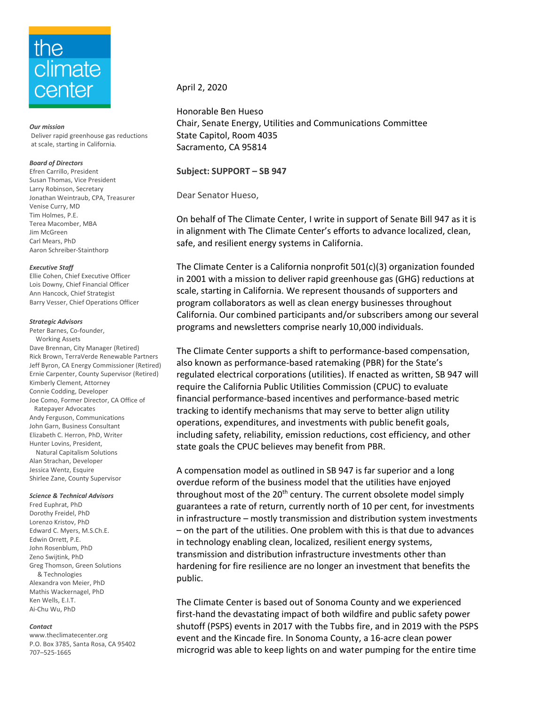# the climate center

*Our mission* Deliver rapid greenhouse gas reductions at scale, starting in California.

### *Board of Directors*

Efren Carrillo, President Susan Thomas, Vice President Larry Robinson, Secretary Jonathan Weintraub, CPA, Treasurer Venise Curry, MD Tim Holmes, P.E. Terea Macomber, MBA Jim McGreen Carl Mears, PhD Aaron Schreiber-Stainthorp

#### *Executive Staff*

Ellie Cohen, Chief Executive Officer Lois Downy, Chief Financial Officer Ann Hancock, Chief Strategist Barry Vesser, Chief Operations Officer

#### *Strategic Advisors*

Peter Barnes, Co-founder, Working Assets Dave Brennan, City Manager (Retired) Rick Brown, TerraVerde Renewable Partners Jeff Byron, CA Energy Commissioner (Retired) Ernie Carpenter, County Supervisor (Retired) Kimberly Clement, Attorney Connie Codding, Developer Joe Como, Former Director, CA Office of Ratepayer Advocates Andy Ferguson, Communications John Garn, Business Consultant Elizabeth C. Herron, PhD, Writer Hunter Lovins, President, Natural Capitalism Solutions Alan Strachan, Developer

Jessica Wentz, Esquire Shirlee Zane, County Supervisor

#### *Science & Technical Advisors*

Fred Euphrat, PhD Dorothy Freidel, PhD Lorenzo Kristov, PhD Edward C. Myers, M.S.Ch.E. Edwin Orrett, P.E. John Rosenblum, PhD Zeno Swijtink, PhD Greg Thomson, Green Solutions & Technologies Alexandra von Meier, PhD Mathis Wackernagel, PhD Ken Wells, E.I.T. Ai-Chu Wu, PhD

#### *Contact*

www.theclimatecenter.org P.O. Box 3785, Santa Rosa, CA 95402 707–525-1665

# April 2, 2020

Honorable Ben Hueso Chair, Senate Energy, Utilities and Communications Committee State Capitol, Room 4035 Sacramento, CA 95814

## **Subject: SUPPORT – SB 947**

Dear Senator Hueso,

On behalf of The Climate Center, I write in support of Senate Bill 947 as it is in alignment with The Climate Center's efforts to advance localized, clean, safe, and resilient energy systems in California.

The Climate Center is a California nonprofit 501(c)(3) organization founded in 2001 with a mission to deliver rapid greenhouse gas (GHG) reductions at scale, starting in California. We represent thousands of supporters and program collaborators as well as clean energy businesses throughout California. Our combined participants and/or subscribers among our several programs and newsletters comprise nearly 10,000 individuals.

The Climate Center supports a shift to performance-based compensation, also known as performance-based ratemaking (PBR) for the State's regulated electrical corporations (utilities). If enacted as written, SB 947 will require the California Public Utilities Commission (CPUC) to evaluate financial performance-based incentives and performance-based metric tracking to identify mechanisms that may serve to better align utility operations, expenditures, and investments with public benefit goals, including safety, reliability, emission reductions, cost efficiency, and other state goals the CPUC believes may benefit from PBR.

A compensation model as outlined in SB 947 is far superior and a long overdue reform of the business model that the utilities have enjoyed throughout most of the 20<sup>th</sup> century. The current obsolete model simply guarantees a rate of return, currently north of 10 per cent, for investments in infrastructure – mostly transmission and distribution system investments – on the part of the utilities. One problem with this is that due to advances in technology enabling clean, localized, resilient energy systems, transmission and distribution infrastructure investments other than hardening for fire resilience are no longer an investment that benefits the public.

The Climate Center is based out of Sonoma County and we experienced first-hand the devastating impact of both wildfire and public safety power shutoff (PSPS) events in 2017 with the Tubbs fire, and in 2019 with the PSPS event and the Kincade fire. In Sonoma County, a 16-acre clean power microgrid was able to keep lights on and water pumping for the entire time